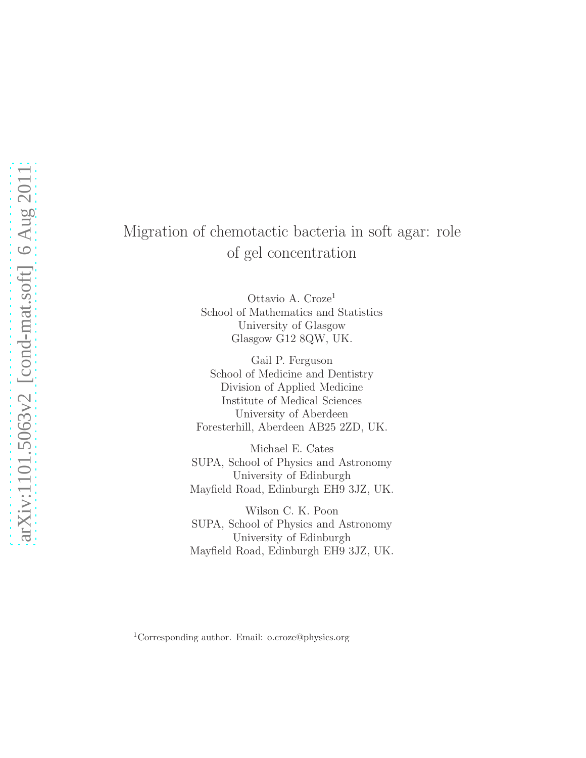# Migration of chemotactic bacteria in soft agar: role of gel concentration

Ottavio A. Croze<sup>1</sup> School of Mathematics and Statistics University of Glasgow Glasgow G12 8QW, UK.

Gail P. Ferguson School of Medicine and Dentistry Division of Applied Medicine Institute of Medical Sciences University of Aberdeen Foresterhill, Aberdeen AB25 2ZD, UK.

Michael E. Cates SUPA, School of Physics and Astronomy University of Edinburgh Mayfield Road, Edinburgh EH9 3JZ, UK.

Wilson C. K. Poon SUPA, School of Physics and Astronomy University of Edinburgh Mayfield Road, Edinburgh EH9 3JZ, UK.

<sup>1</sup>Corresponding author. Email: o.croze@physics.org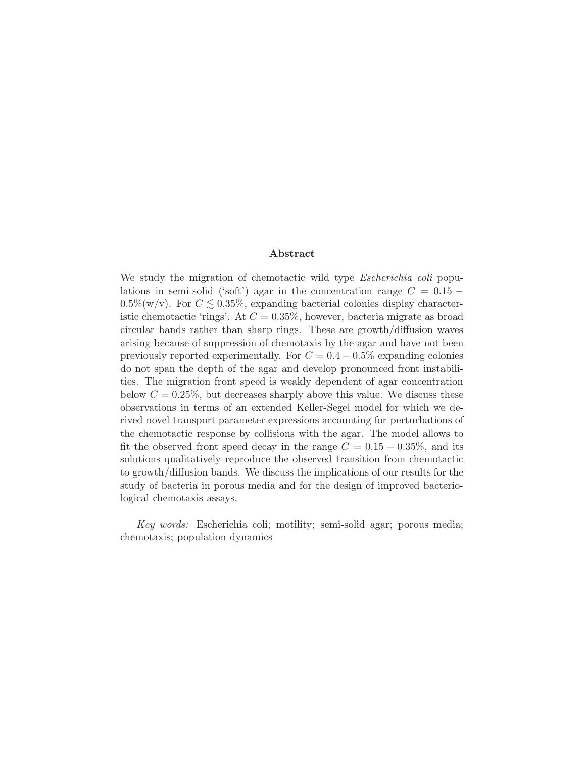#### Abstract

We study the migration of chemotactic wild type *Escherichia coli* populations in semi-solid ('soft') agar in the concentration range  $C = 0.15 0.5\%$ (w/v). For  $C \lesssim 0.35\%$ , expanding bacterial colonies display characteristic chemotactic 'rings'. At  $C = 0.35\%$ , however, bacteria migrate as broad circular bands rather than sharp rings. These are growth/diffusion waves arising because of suppression of chemotaxis by the agar and have not been previously reported experimentally. For  $C = 0.4 - 0.5\%$  expanding colonies do not span the depth of the agar and develop pronounced front instabilities. The migration front speed is weakly dependent of agar concentration below  $C = 0.25\%$ , but decreases sharply above this value. We discuss these observations in terms of an extended Keller-Segel model for which we derived novel transport parameter expressions accounting for perturbations of the chemotactic response by collisions with the agar. The model allows to fit the observed front speed decay in the range  $C = 0.15 - 0.35\%$ , and its solutions qualitatively reproduce the observed transition from chemotactic to growth/diffusion bands. We discuss the implications of our results for the study of bacteria in porous media and for the design of improved bacteriological chemotaxis assays.

*Key words:* Escherichia coli; motility; semi-solid agar; porous media; chemotaxis; population dynamics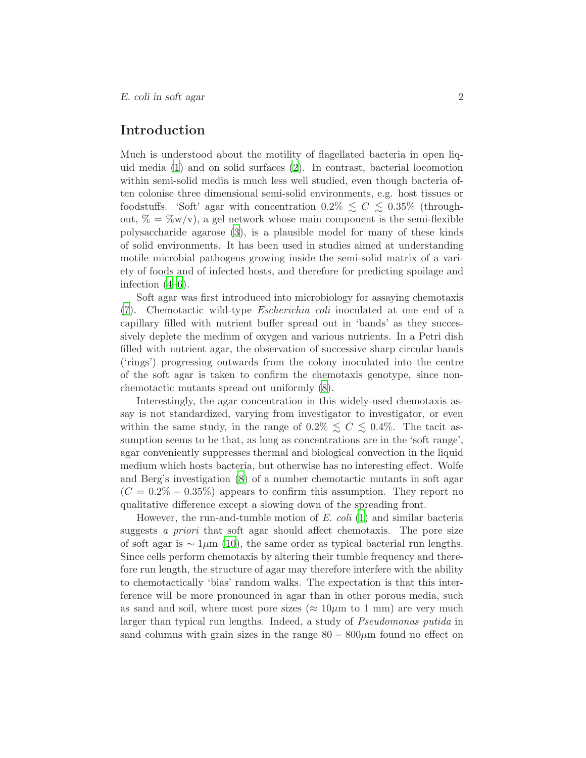# Introduction

Much is understood about the motility of flagellated bacteria in open liquid media [\(1\)](#page-17-0) and on solid surfaces [\(2\)](#page-17-1). In contrast, bacterial locomotion within semi-solid media is much less well studied, even though bacteria often colonise three dimensional semi-solid environments, e.g. host tissues or foodstuffs. 'Soft' agar with concentration  $0.2\% \leq C \leq 0.35\%$  (throughout,  $\% = \% w/v$ , a gel network whose main component is the semi-flexible polysaccharide agarose [\(3](#page-17-2)), is a plausible model for many of these kinds of solid environments. It has been used in studies aimed at understanding motile microbial pathogens growing inside the semi-solid matrix of a variety of foods and of infected hosts, and therefore for predicting spoilage and infection  $(4-6)$ .

Soft agar was first introduced into microbiology for assaying chemotaxis [\(7](#page-17-5)). Chemotactic wild-type *Escherichia coli* inoculated at one end of a capillary filled with nutrient buffer spread out in 'bands' as they successively deplete the medium of oxygen and various nutrients. In a Petri dish filled with nutrient agar, the observation of successive sharp circular bands ('rings') progressing outwards from the colony inoculated into the centre of the soft agar is taken to confirm the chemotaxis genotype, since nonchemotactic mutants spread out uniformly [\(8\)](#page-18-0).

Interestingly, the agar concentration in this widely-used chemotaxis assay is not standardized, varying from investigator to investigator, or even within the same study, in the range of  $0.2\% \leq C \leq 0.4\%$ . The tacit assumption seems to be that, as long as concentrations are in the 'soft range', agar conveniently suppresses thermal and biological convection in the liquid medium which hosts bacteria, but otherwise has no interesting effect. Wolfe and Berg's investigation [\(8](#page-18-0)) of a number chemotactic mutants in soft agar  $(C = 0.2\% - 0.35\%)$  appears to confirm this assumption. They report no qualitative difference except a slowing down of the spreading front.

However, the run-and-tumble motion of *E. coli* [\(1\)](#page-17-0) and similar bacteria suggests *a priori* that soft agar should affect chemotaxis. The pore size of soft agar is  $\sim 1 \mu m$  [\(10\)](#page-18-1), the same order as typical bacterial run lengths. Since cells perform chemotaxis by altering their tumble frequency and therefore run length, the structure of agar may therefore interfere with the ability to chemotactically 'bias' random walks. The expectation is that this interference will be more pronounced in agar than in other porous media, such as sand and soil, where most pore sizes ( $\approx 10 \mu m$  to 1 mm) are very much larger than typical run lengths. Indeed, a study of *Pseudomonas putida* in sand columns with grain sizes in the range  $80 - 800 \mu m$  found no effect on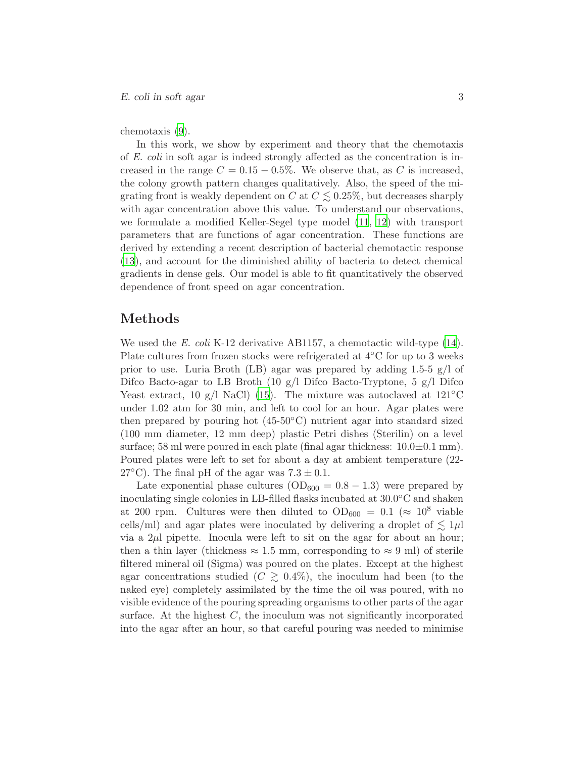chemotaxis [\(9\)](#page-18-2).

In this work, we show by experiment and theory that the chemotaxis of *E. coli* in soft agar is indeed strongly affected as the concentration is increased in the range  $C = 0.15 - 0.5\%$ . We observe that, as C is increased, the colony growth pattern changes qualitatively. Also, the speed of the migrating front is weakly dependent on C at  $C \lesssim 0.25\%$ , but decreases sharply with agar concentration above this value. To understand our observations, we formulate a modified Keller-Segel type model [\(11,](#page-18-3) [12](#page-18-4)) with transport parameters that are functions of agar concentration. These functions are derived by extending a recent description of bacterial chemotactic response [\(13](#page-18-5)), and account for the diminished ability of bacteria to detect chemical gradients in dense gels. Our model is able to fit quantitatively the observed dependence of front speed on agar concentration.

### Methods

We used the *E. coli* K-12 derivative AB1157, a chemotactic wild-type [\(14](#page-18-6)). Plate cultures from frozen stocks were refrigerated at 4◦C for up to 3 weeks prior to use. Luria Broth (LB) agar was prepared by adding 1.5-5  $g/l$  of Difco Bacto-agar to LB Broth (10 g/l Difco Bacto-Tryptone, 5 g/l Difco Yeast extract, 10 g/l NaCl) [\(15\)](#page-18-7). The mixture was autoclaved at  $121^{\circ}$ C under 1.02 atm for 30 min, and left to cool for an hour. Agar plates were then prepared by pouring hot  $(45-50°\text{C})$  nutrient agar into standard sized (100 mm diameter, 12 mm deep) plastic Petri dishes (Sterilin) on a level surface; 58 ml were poured in each plate (final agar thickness:  $10.0 \pm 0.1$  mm). Poured plates were left to set for about a day at ambient temperature (22- 27 $^{\circ}$ C). The final pH of the agar was  $7.3 \pm 0.1$ .

Late exponential phase cultures  $(OD_{600} = 0.8 - 1.3)$  were prepared by inoculating single colonies in LB-filled flasks incubated at  $30.0^{\circ}$ C and shaken at 200 rpm. Cultures were then diluted to  $OD_{600} = 0.1 \approx 10^8$  viable cells/ml) and agar plates were inoculated by delivering a droplet of  $\lesssim 1 \mu$ l via a  $2\mu$  pipette. Inocula were left to sit on the agar for about an hour; then a thin layer (thickness  $\approx 1.5$  mm, corresponding to  $\approx 9$  ml) of sterile filtered mineral oil (Sigma) was poured on the plates. Except at the highest agar concentrations studied ( $C \geq 0.4\%$ ), the inoculum had been (to the naked eye) completely assimilated by the time the oil was poured, with no visible evidence of the pouring spreading organisms to other parts of the agar surface. At the highest  $C$ , the inoculum was not significantly incorporated into the agar after an hour, so that careful pouring was needed to minimise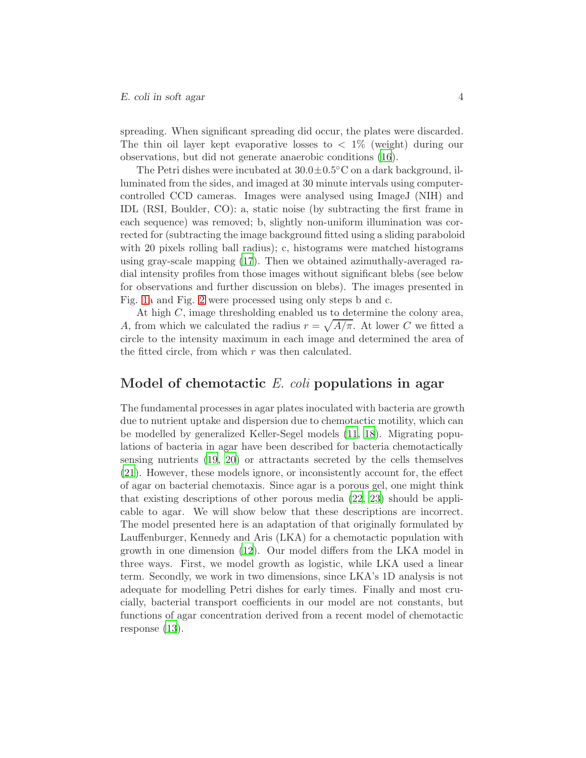### E. coli in soft agar 4

spreading. When significant spreading did occur, the plates were discarded. The thin oil layer kept evaporative losses to  $\langle 1\% \rangle$  (weight) during our observations, but did not generate anaerobic conditions [\(16](#page-18-8)).

The Petri dishes were incubated at  $30.0 \pm 0.5^{\circ}$ C on a dark background, illuminated from the sides, and imaged at 30 minute intervals using computercontrolled CCD cameras. Images were analysed using ImageJ (NIH) and IDL (RSI, Boulder, CO): a, static noise (by subtracting the first frame in each sequence) was removed; b, slightly non-uniform illumination was corrected for (subtracting the image background fitted using a sliding paraboloid with 20 pixels rolling ball radius); c, histograms were matched histograms using gray-scale mapping [\(17\)](#page-18-9). Then we obtained azimuthally-averaged radial intensity profiles from those images without significant blebs (see below for observations and further discussion on blebs). The images presented in Fig. [1a](#page-23-0) and Fig. [2](#page-24-0) were processed using only steps b and c.

At high C, image thresholding enabled us to determine the colony area, A, from which we calculated the radius  $r = \sqrt{A/\pi}$ . At lower C we fitted a circle to the intensity maximum in each image and determined the area of the fitted circle, from which  $r$  was then calculated.

## Model of chemotactic E. coli populations in agar

The fundamental processes in agar plates inoculated with bacteria are growth due to nutrient uptake and dispersion due to chemotactic motility, which can be modelled by generalized Keller-Segel models [\(11,](#page-18-3) [18\)](#page-18-10). Migrating populations of bacteria in agar have been described for bacteria chemotactically sensing nutrients [\(19,](#page-18-11) [20](#page-18-12)) or attractants secreted by the cells themselves [\(21](#page-19-0)). However, these models ignore, or inconsistently account for, the effect of agar on bacterial chemotaxis. Since agar is a porous gel, one might think that existing descriptions of other porous media [\(22](#page-19-1), [23](#page-19-2)) should be applicable to agar. We will show below that these descriptions are incorrect. The model presented here is an adaptation of that originally formulated by Lauffenburger, Kennedy and Aris (LKA) for a chemotactic population with growth in one dimension [\(12\)](#page-18-4). Our model differs from the LKA model in three ways. First, we model growth as logistic, while LKA used a linear term. Secondly, we work in two dimensions, since LKA's 1D analysis is not adequate for modelling Petri dishes for early times. Finally and most crucially, bacterial transport coefficients in our model are not constants, but functions of agar concentration derived from a recent model of chemotactic response [\(13](#page-18-5)).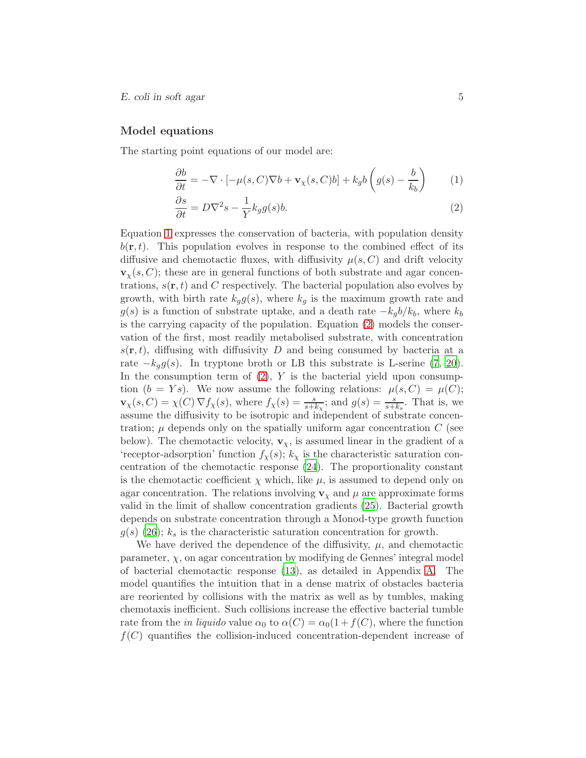### Model equations

The starting point equations of our model are:

<span id="page-5-0"></span>
$$
\frac{\partial b}{\partial t} = -\nabla \cdot \left[ -\mu(s, C)\nabla b + \mathbf{v}_{\chi}(s, C)b \right] + k_g b \left( g(s) - \frac{b}{k_b} \right) \tag{1}
$$

$$
\frac{\partial s}{\partial t} = D\nabla^2 s - \frac{1}{Y} k_g g(s) b. \tag{2}
$$

Equation [1](#page-5-0) expresses the conservation of bacteria, with population density  $b(\mathbf{r}, t)$ . This population evolves in response to the combined effect of its diffusive and chemotactic fluxes, with diffusivity  $\mu(s, C)$  and drift velocity  $\mathbf{v}_{\chi}(s, C)$ ; these are in general functions of both substrate and agar concentrations,  $s(\mathbf{r}, t)$  and C respectively. The bacterial population also evolves by growth, with birth rate  $k_g g(s)$ , where  $k_g$  is the maximum growth rate and  $g(s)$  is a function of substrate uptake, and a death rate  $-k_qb/k_b$ , where  $k_b$ is the carrying capacity of the population. Equation [\(2\)](#page-5-0) models the conservation of the first, most readily metabolised substrate, with concentration  $s(\mathbf{r}, t)$ , diffusing with diffusivity D and being consumed by bacteria at a rate  $-k<sub>g</sub>g(s)$ . In tryptone broth or LB this substrate is L-serine [\(7](#page-17-5), [20](#page-18-12)). In the consumption term of  $(2)$ , Y is the bacterial yield upon consumption  $(b = Ys)$ . We now assume the following relations:  $\mu(s, C) = \mu(C)$ ;  $\mathbf{v}_{\chi}(s, C) = \chi(C) \nabla f_{\chi}(s)$ , where  $f_{\chi}(s) = \frac{s}{s+k_{\chi}}$ ; and  $g(s) = \frac{s}{s+k_{s}}$ . That is, we assume the diffusivity to be isotropic and independent of substrate concentration;  $\mu$  depends only on the spatially uniform agar concentration C (see below). The chemotactic velocity,  $\mathbf{v}_{\chi}$ , is assumed linear in the gradient of a 'receptor-adsorption' function  $f_{\chi}(s)$ ;  $k_{\chi}$  is the characteristic saturation concentration of the chemotactic response [\(24](#page-19-3)). The proportionality constant is the chemotactic coefficient  $\chi$  which, like  $\mu$ , is assumed to depend only on agar concentration. The relations involving  $\mathbf{v}_{\chi}$  and  $\mu$  are approximate forms valid in the limit of shallow concentration gradients [\(25](#page-19-4)). Bacterial growth depends on substrate concentration through a Monod-type growth function  $g(s)$  [\(26\)](#page-19-5);  $k<sub>s</sub>$  is the characteristic saturation concentration for growth.

We have derived the dependence of the diffusivity,  $\mu$ , and chemotactic parameter,  $\chi$ , on agar concentration by modifying de Gennes' integral model of bacterial chemotactic response [\(13\)](#page-18-5), as detailed in Appendix [A.](#page-14-0) The model quantifies the intuition that in a dense matrix of obstacles bacteria are reoriented by collisions with the matrix as well as by tumbles, making chemotaxis inefficient. Such collisions increase the effective bacterial tumble rate from the *in liquido* value  $\alpha_0$  to  $\alpha(C) = \alpha_0(1 + f(C))$ , where the function  $f(C)$  quantifies the collision-induced concentration-dependent increase of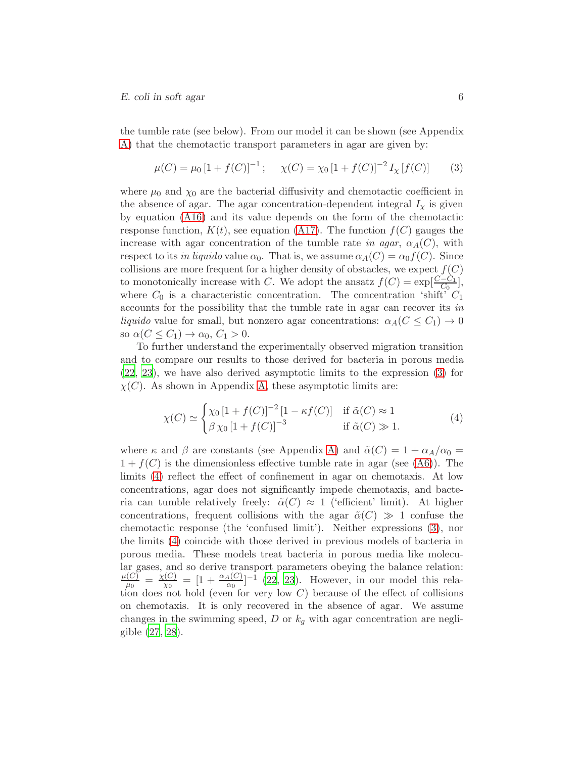the tumble rate (see below). From our model it can be shown (see Appendix [A\)](#page-14-0) that the chemotactic transport parameters in agar are given by:

<span id="page-6-0"></span>
$$
\mu(C) = \mu_0 \left[ 1 + f(C) \right]^{-1}; \quad \chi(C) = \chi_0 \left[ 1 + f(C) \right]^{-2} I_\chi \left[ f(C) \right] \tag{3}
$$

where  $\mu_0$  and  $\chi_0$  are the bacterial diffusivity and chemotactic coefficient in the absence of agar. The agar concentration-dependent integral  $I_{\chi}$  is given by equation [\(A16\)](#page-16-0) and its value depends on the form of the chemotactic response function,  $K(t)$ , see equation [\(A17\)](#page-16-1). The function  $f(C)$  gauges the increase with agar concentration of the tumble rate *in agar*,  $\alpha_A(C)$ , with respect to its *in liquido* value  $\alpha_0$ . That is, we assume  $\alpha_A(C) = \alpha_0 f(C)$ . Since collisions are more frequent for a higher density of obstacles, we expect  $f(C)$ to monotonically increase with C. We adopt the ansatz  $f(C) = \exp[\frac{C-C_1}{C_0}]$ , where  $C_0$  is a characteristic concentration. The concentration 'shift'  $C_1$ accounts for the possibility that the tumble rate in agar can recover its *in liquido* value for small, but nonzero agar concentrations:  $\alpha_A(C \leq C_1) \to 0$ so  $\alpha(C \leq C_1) \rightarrow \alpha_0, C_1 > 0$ .

To further understand the experimentally observed migration transition and to compare our results to those derived for bacteria in porous media [\(22,](#page-19-1) [23](#page-19-2)), we have also derived asymptotic limits to the expression [\(3\)](#page-6-0) for  $\chi(C)$ . As shown in Appendix [A,](#page-14-0) these asymptotic limits are:

<span id="page-6-1"></span>
$$
\chi(C) \simeq \begin{cases} \chi_0 \left[ 1 + f(C) \right]^{-2} \left[ 1 - \kappa f(C) \right] & \text{if } \tilde{\alpha}(C) \approx 1 \\ \beta \chi_0 \left[ 1 + f(C) \right]^{-3} & \text{if } \tilde{\alpha}(C) \gg 1. \end{cases} \tag{4}
$$

where  $\kappa$  and  $\beta$  are constants (see Appendix [A\)](#page-14-0) and  $\tilde{\alpha}(C) = 1 + \alpha_A/\alpha_0 =$  $1 + f(C)$  is the dimensionless effective tumble rate in agar (see [\(A6\)](#page-15-0)). The limits [\(4\)](#page-6-1) reflect the effect of confinement in agar on chemotaxis. At low concentrations, agar does not significantly impede chemotaxis, and bacteria can tumble relatively freely:  $\tilde{\alpha}(C) \approx 1$  ('efficient' limit). At higher concentrations, frequent collisions with the agar  $\tilde{\alpha}(C) \gg 1$  confuse the chemotactic response (the 'confused limit'). Neither expressions [\(3\)](#page-6-0), nor the limits [\(4\)](#page-6-1) coincide with those derived in previous models of bacteria in porous media. These models treat bacteria in porous media like molecular gases, and so derive transport parameters obeying the balance relation:  $\mu(C)$  $\frac{d(C)}{d\mu_0} = \frac{\chi(C)}{\chi_0}$  $\frac{\Gamma(C)}{\chi_0} = [1 + \frac{\alpha_A(C)}{\alpha_0}]^{-1}$  [\(22](#page-19-1), [23](#page-19-2)). However, in our model this relation does not hold (even for very low  $C$ ) because of the effect of collisions on chemotaxis. It is only recovered in the absence of agar. We assume changes in the swimming speed, D or  $k<sub>g</sub>$  with agar concentration are negligible [\(27](#page-19-6), [28](#page-19-7)).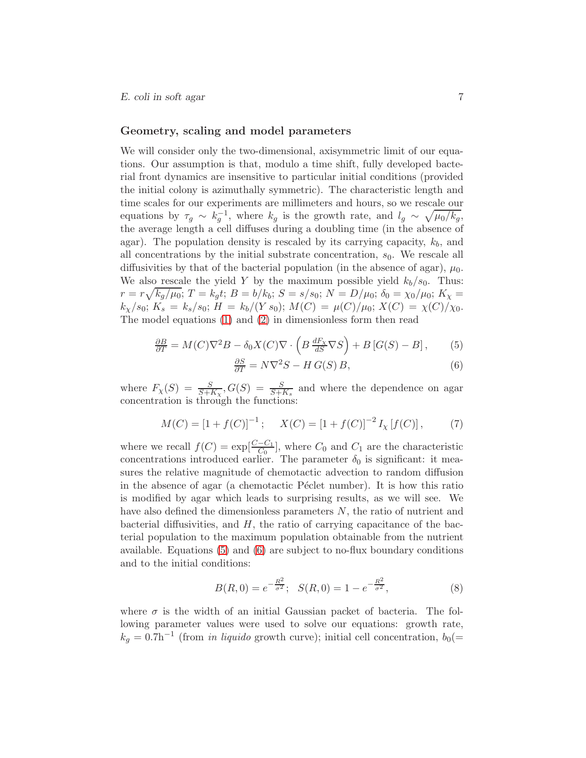### Geometry, scaling and model parameters

We will consider only the two-dimensional, axisymmetric limit of our equations. Our assumption is that, modulo a time shift, fully developed bacterial front dynamics are insensitive to particular initial conditions (provided the initial colony is azimuthally symmetric). The characteristic length and time scales for our experiments are millimeters and hours, so we rescale our equations by  $\tau_g \sim k_g^{-1}$ , where  $k_g$  is the growth rate, and  $l_g \sim \sqrt{\mu_0/k_g}$ , the average length a cell diffuses during a doubling time (in the absence of agar). The population density is rescaled by its carrying capacity,  $k_b$ , and all concentrations by the initial substrate concentration,  $s<sub>0</sub>$ . We rescale all diffusivities by that of the bacterial population (in the absence of agar),  $\mu_0$ . We also rescale the yield Y by the maximum possible yield  $k_b/s_0$ . Thus:  $r = r \sqrt{k_g/\mu_0};\, T = k_g t;\, B = b/k_b;\, S = s/s_0;\, N = D/\mu_0;\, \delta_0 = \chi_0/\mu_0;\, K_\chi =$  $k_{\chi}/s_0; K_s = k_s/s_0; H = k_b/(Y s_0); M(C) = \mu(C)/\mu_0; X(C) = \chi(C)/\chi_0.$ The model equations [\(1\)](#page-5-0) and [\(2\)](#page-5-0) in dimensionless form then read

<span id="page-7-0"></span>
$$
\frac{\partial B}{\partial T} = M(C)\nabla^2 B - \delta_0 X(C)\nabla \cdot \left(B \frac{dF_\chi}{dS} \nabla S\right) + B\left[G(S) - B\right],\tag{5}
$$

$$
\frac{\partial S}{\partial T} = N\nabla^2 S - H\,G(S)\,B,\tag{6}
$$

where  $F_{\chi}(S) = \frac{S}{S + K_{\chi}}, G(S) = \frac{S}{S + K_{s}}$  and where the dependence on agar concentration is through the functions:

<span id="page-7-1"></span>
$$
M(C) = [1 + f(C)]^{-1}; \quad X(C) = [1 + f(C)]^{-2} I_{\chi}[f(C)], \quad (7)
$$

where we recall  $f(C) = \exp[\frac{C-C_1}{C_0}]$ , where  $C_0$  and  $C_1$  are the characteristic concentrations introduced earlier. The parameter  $\delta_0$  is significant: it measures the relative magnitude of chemotactic advection to random diffusion in the absence of agar (a chemotactic Péclet number). It is how this ratio is modified by agar which leads to surprising results, as we will see. We have also defined the dimensionless parameters N, the ratio of nutrient and bacterial diffusivities, and  $H$ , the ratio of carrying capacitance of the bacterial population to the maximum population obtainable from the nutrient available. Equations [\(5\)](#page-7-0) and [\(6\)](#page-7-0) are subject to no-flux boundary conditions and to the initial conditions:

<span id="page-7-2"></span>
$$
B(R,0) = e^{-\frac{R^2}{\sigma^2}}; \quad S(R,0) = 1 - e^{-\frac{R^2}{\sigma^2}}, \tag{8}
$$

where  $\sigma$  is the width of an initial Gaussian packet of bacteria. The following parameter values were used to solve our equations: growth rate,  $k_g = 0.7$ h<sup>-1</sup> (from *in liquido* growth curve); initial cell concentration,  $b_0(=$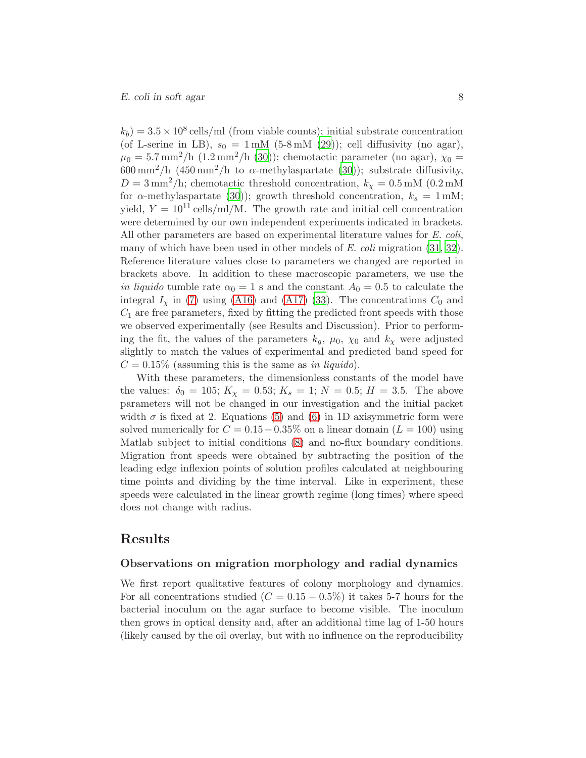$(k_b) = 3.5 \times 10^8$  cells/ml (from viable counts); initial substrate concentration (of L-serine in LB),  $s_0 = 1 \text{ mM } (5-8 \text{ mM } (29))$  $s_0 = 1 \text{ mM } (5-8 \text{ mM } (29))$  $s_0 = 1 \text{ mM } (5-8 \text{ mM } (29))$ ; cell diffusivity (no agar),  $\mu_0 = 5.7 \,\mathrm{mm}^2/\mathrm{h}$  (1.2 mm<sup>2</sup>/h [\(30](#page-19-9))); chemotactic parameter (no agar),  $\chi_0 =$  $600 \,\mathrm{mm}^2/\mathrm{h}$  (450 mm<sup>2</sup>/h to  $\alpha$ -methylaspartate [\(30](#page-19-9))); substrate diffusivity,  $D = 3 \text{ mm}^2/\text{h}$ ; chemotactic threshold concentration,  $k_{\chi} = 0.5 \text{ mM}$  (0.2 mM) for  $\alpha$ -methylaspartate [\(30](#page-19-9))); growth threshold concentration,  $k_s = 1$  mM; yield,  $Y = 10^{11}$  cells/ml/M. The growth rate and initial cell concentration were determined by our own independent experiments indicated in brackets. All other parameters are based on experimental literature values for *E. coli*, many of which have been used in other models of *E. coli* migration [\(31,](#page-19-10) [32](#page-19-11)). Reference literature values close to parameters we changed are reported in brackets above. In addition to these macroscopic parameters, we use the *in liquido* tumble rate  $\alpha_0 = 1$  s and the constant  $A_0 = 0.5$  to calculate the integral  $I<sub>x</sub>$  in [\(7\)](#page-7-1) using [\(A16\)](#page-16-0) and [\(A17\)](#page-16-1) [\(33\)](#page-20-0). The concentrations  $C<sub>0</sub>$  and  $C_1$  are free parameters, fixed by fitting the predicted front speeds with those we observed experimentally (see Results and Discussion). Prior to performing the fit, the values of the parameters  $k_q$ ,  $\mu_0$ ,  $\chi_0$  and  $k_\chi$  were adjusted slightly to match the values of experimental and predicted band speed for  $C = 0.15\%$  (assuming this is the same as *in liquido*).

With these parameters, the dimensionless constants of the model have the values:  $\delta_0 = 105$ ;  $K_\chi = 0.53$ ;  $K_s = 1$ ;  $N = 0.5$ ;  $H = 3.5$ . The above parameters will not be changed in our investigation and the initial packet width  $\sigma$  is fixed at 2. Equations [\(5\)](#page-7-0) and [\(6\)](#page-7-0) in 1D axisymmetric form were solved numerically for  $C = 0.15-0.35\%$  on a linear domain  $(L = 100)$  using Matlab subject to initial conditions [\(8\)](#page-7-2) and no-flux boundary conditions. Migration front speeds were obtained by subtracting the position of the leading edge inflexion points of solution profiles calculated at neighbouring time points and dividing by the time interval. Like in experiment, these speeds were calculated in the linear growth regime (long times) where speed does not change with radius.

### Results

### Observations on migration morphology and radial dynamics

We first report qualitative features of colony morphology and dynamics. For all concentrations studied ( $C = 0.15 - 0.5\%$ ) it takes 5-7 hours for the bacterial inoculum on the agar surface to become visible. The inoculum then grows in optical density and, after an additional time lag of 1-50 hours (likely caused by the oil overlay, but with no influence on the reproducibility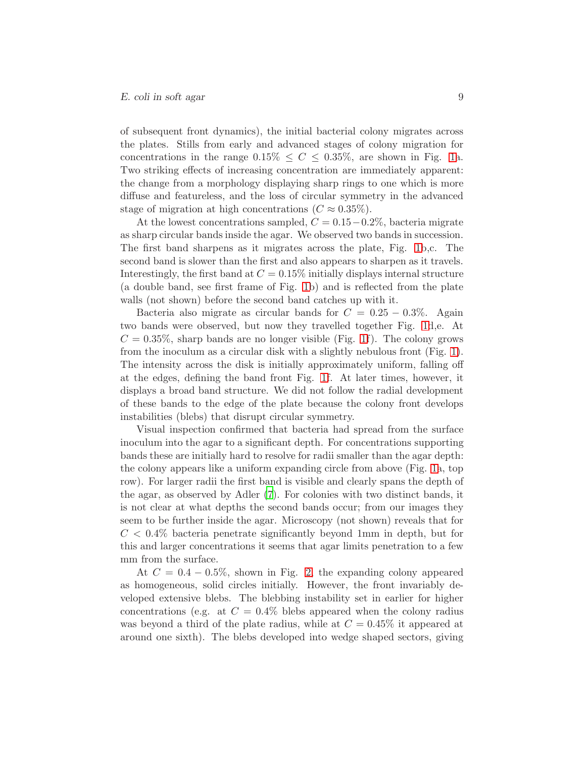of subsequent front dynamics), the initial bacterial colony migrates across the plates. Stills from early and advanced stages of colony migration for concentrations in the range  $0.15\% \leq C \leq 0.35\%$ , are shown in Fig. [1a](#page-23-0). Two striking effects of increasing concentration are immediately apparent: the change from a morphology displaying sharp rings to one which is more diffuse and featureless, and the loss of circular symmetry in the advanced stage of migration at high concentrations  $(C \approx 0.35\%).$ 

At the lowest concentrations sampled,  $C = 0.15-0.2\%$ , bacteria migrate as sharp circular bands inside the agar. We observed two bands in succession. The first band sharpens as it migrates across the plate, Fig. [1b](#page-23-0),c. The second band is slower than the first and also appears to sharpen as it travels. Interestingly, the first band at  $C = 0.15\%$  initially displays internal structure (a double band, see first frame of Fig. [1b](#page-23-0)) and is reflected from the plate walls (not shown) before the second band catches up with it.

Bacteria also migrate as circular bands for  $C = 0.25 - 0.3\%$ . Again two bands were observed, but now they travelled together Fig. [1d](#page-23-0),e. At  $C = 0.35\%$ , sharp bands are no longer visible (Fig. [1f](#page-23-0)). The colony grows from the inoculum as a circular disk with a slightly nebulous front (Fig. [1\)](#page-23-0). The intensity across the disk is initially approximately uniform, falling off at the edges, defining the band front Fig. [1f](#page-23-0). At later times, however, it displays a broad band structure. We did not follow the radial development of these bands to the edge of the plate because the colony front develops instabilities (blebs) that disrupt circular symmetry.

Visual inspection confirmed that bacteria had spread from the surface inoculum into the agar to a significant depth. For concentrations supporting bands these are initially hard to resolve for radii smaller than the agar depth: the colony appears like a uniform expanding circle from above (Fig. [1a](#page-23-0), top row). For larger radii the first band is visible and clearly spans the depth of the agar, as observed by Adler [\(7](#page-17-5)). For colonies with two distinct bands, it is not clear at what depths the second bands occur; from our images they seem to be further inside the agar. Microscopy (not shown) reveals that for  $C < 0.4\%$  bacteria penetrate significantly beyond 1mm in depth, but for this and larger concentrations it seems that agar limits penetration to a few mm from the surface.

At  $C = 0.4 - 0.5\%$ , shown in Fig. [2,](#page-24-0) the expanding colony appeared as homogeneous, solid circles initially. However, the front invariably developed extensive blebs. The blebbing instability set in earlier for higher concentrations (e.g. at  $C = 0.4\%$  blebs appeared when the colony radius was beyond a third of the plate radius, while at  $C = 0.45\%$  it appeared at around one sixth). The blebs developed into wedge shaped sectors, giving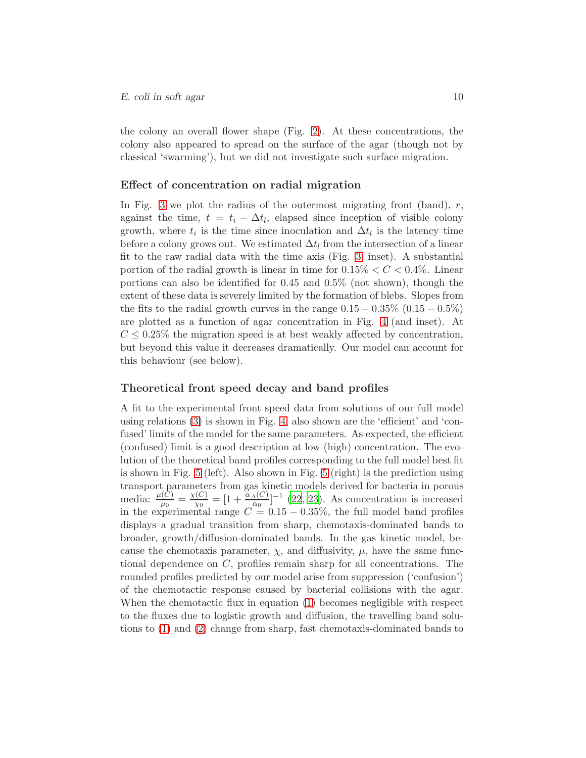the colony an overall flower shape (Fig. [2\)](#page-24-0). At these concentrations, the colony also appeared to spread on the surface of the agar (though not by classical 'swarming'), but we did not investigate such surface migration.

#### Effect of concentration on radial migration

In Fig. [3](#page-25-0) we plot the radius of the outermost migrating front (band),  $r$ , against the time,  $t = t_i - \Delta t_l$ , elapsed since inception of visible colony growth, where  $t_i$  is the time since inoculation and  $\Delta t_l$  is the latency time before a colony grows out. We estimated  $\Delta t_l$  from the intersection of a linear fit to the raw radial data with the time axis (Fig. [3,](#page-25-0) inset). A substantial portion of the radial growth is linear in time for  $0.15\% < C < 0.4\%$ . Linear portions can also be identified for 0.45 and 0.5% (not shown), though the extent of these data is severely limited by the formation of blebs. Slopes from the fits to the radial growth curves in the range  $0.15 - 0.35\%$  (0.15  $-0.5\%$ ) are plotted as a function of agar concentration in Fig. [4](#page-26-0) (and inset). At  $C \leq 0.25\%$  the migration speed is at best weakly affected by concentration, but beyond this value it decreases dramatically. Our model can account for this behaviour (see below).

#### Theoretical front speed decay and band profiles

A fit to the experimental front speed data from solutions of our full model using relations [\(3\)](#page-6-0) is shown in Fig. [4;](#page-26-0) also shown are the 'efficient' and 'confused' limits of the model for the same parameters. As expected, the efficient (confused) limit is a good description at low (high) concentration. The evolution of the theoretical band profiles corresponding to the full model best fit is shown in Fig. [5](#page-27-0) (left). Also shown in Fig. [5](#page-27-0) (right) is the prediction using transport parameters from gas kinetic models derived for bacteria in porous media:  $\frac{\mu(C)}{\mu_0} = \frac{\chi(C)}{\chi_0}$  $\frac{\alpha(G)}{\alpha_0} = [1 + \frac{\alpha_A(C)}{\alpha_0}]^{-1}$  [\(22](#page-19-1), [23\)](#page-19-2). As concentration is increased in the experimental range  $C = 0.15 - 0.35\%$ , the full model band profiles displays a gradual transition from sharp, chemotaxis-dominated bands to broader, growth/diffusion-dominated bands. In the gas kinetic model, because the chemotaxis parameter,  $\chi$ , and diffusivity,  $\mu$ , have the same functional dependence on C, profiles remain sharp for all concentrations. The rounded profiles predicted by our model arise from suppression ('confusion') of the chemotactic response caused by bacterial collisions with the agar. When the chemotactic flux in equation [\(1\)](#page-5-0) becomes negligible with respect to the fluxes due to logistic growth and diffusion, the travelling band solutions to [\(1\)](#page-5-0) and [\(2\)](#page-5-0) change from sharp, fast chemotaxis-dominated bands to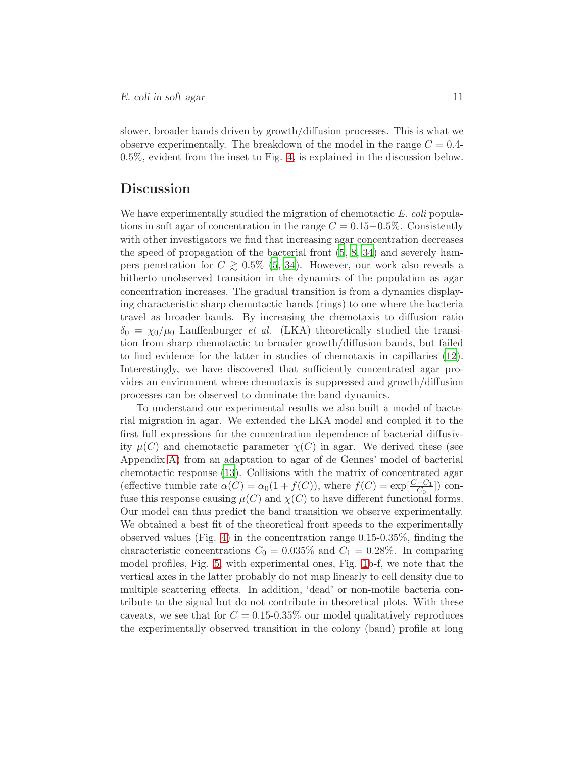slower, broader bands driven by growth/diffusion processes. This is what we observe experimentally. The breakdown of the model in the range  $C = 0.4$ -0.5%, evident from the inset to Fig. [4,](#page-26-0) is explained in the discussion below.

## Discussion

We have experimentally studied the migration of chemotactic *E. coli* populations in soft agar of concentration in the range  $C = 0.15-0.5\%$ . Consistently with other investigators we find that increasing agar concentration decreases the speed of propagation of the bacterial front [\(5](#page-17-6), [8](#page-18-0), [34](#page-20-1)) and severely hampers penetration for  $C \gtrsim 0.5\%$  [\(5](#page-17-6), [34\)](#page-20-1). However, our work also reveals a hitherto unobserved transition in the dynamics of the population as agar concentration increases. The gradual transition is from a dynamics displaying characteristic sharp chemotactic bands (rings) to one where the bacteria travel as broader bands. By increasing the chemotaxis to diffusion ratio  $\delta_0 = \chi_0/\mu_0$  Lauffenburger *et al.* (LKA) theoretically studied the transition from sharp chemotactic to broader growth/diffusion bands, but failed to find evidence for the latter in studies of chemotaxis in capillaries [\(12](#page-18-4)). Interestingly, we have discovered that sufficiently concentrated agar provides an environment where chemotaxis is suppressed and growth/diffusion processes can be observed to dominate the band dynamics.

To understand our experimental results we also built a model of bacterial migration in agar. We extended the LKA model and coupled it to the first full expressions for the concentration dependence of bacterial diffusivity  $\mu(C)$  and chemotactic parameter  $\chi(C)$  in agar. We derived these (see Appendix [A\)](#page-14-0) from an adaptation to agar of de Gennes' model of bacterial chemotactic response [\(13](#page-18-5)). Collisions with the matrix of concentrated agar (effective tumble rate  $\alpha(C) = \alpha_0(1 + f(C))$ , where  $f(C) = \exp[\frac{C - C_1}{C_0}]$ ) confuse this response causing  $\mu(C)$  and  $\chi(C)$  to have different functional forms. Our model can thus predict the band transition we observe experimentally. We obtained a best fit of the theoretical front speeds to the experimentally observed values (Fig. [4\)](#page-26-0) in the concentration range 0.15-0.35%, finding the characteristic concentrations  $C_0 = 0.035\%$  and  $C_1 = 0.28\%$ . In comparing model profiles, Fig. [5,](#page-27-0) with experimental ones, Fig. [1b](#page-23-0)-f, we note that the vertical axes in the latter probably do not map linearly to cell density due to multiple scattering effects. In addition, 'dead' or non-motile bacteria contribute to the signal but do not contribute in theoretical plots. With these caveats, we see that for  $C = 0.15$ -0.35% our model qualitatively reproduces the experimentally observed transition in the colony (band) profile at long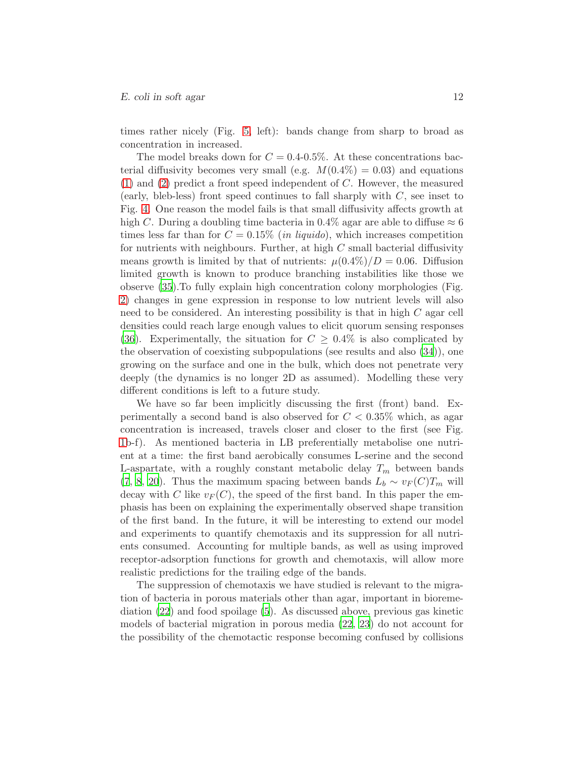times rather nicely (Fig. [5,](#page-27-0) left): bands change from sharp to broad as concentration in increased.

The model breaks down for  $C = 0.4{\text -}0.5\%$ . At these concentrations bacterial diffusivity becomes very small (e.g.  $M(0.4\%) = 0.03$ ) and equations [\(1\)](#page-5-0) and [\(2\)](#page-5-0) predict a front speed independent of C. However, the measured (early, bleb-less) front speed continues to fall sharply with  $C$ , see inset to Fig. [4.](#page-26-0) One reason the model fails is that small diffusivity affects growth at high C. During a doubling time bacteria in 0.4% agar are able to diffuse  $\approx 6$ times less far than for  $C = 0.15\%$  (*in liquido*), which increases competition for nutrients with neighbours. Further, at high  $C$  small bacterial diffusivity means growth is limited by that of nutrients:  $\mu(0.4\%)/D = 0.06$ . Diffusion limited growth is known to produce branching instabilities like those we observe [\(35](#page-20-2)).To fully explain high concentration colony morphologies (Fig. [2\)](#page-24-0) changes in gene expression in response to low nutrient levels will also need to be considered. An interesting possibility is that in high  $C$  agar cell densities could reach large enough values to elicit quorum sensing responses [\(36\)](#page-20-3). Experimentally, the situation for  $C \geq 0.4\%$  is also complicated by the observation of coexisting subpopulations (see results and also [\(34](#page-20-1))), one growing on the surface and one in the bulk, which does not penetrate very deeply (the dynamics is no longer 2D as assumed). Modelling these very different conditions is left to a future study.

We have so far been implicitly discussing the first (front) band. Experimentally a second band is also observed for  $C < 0.35\%$  which, as again concentration is increased, travels closer and closer to the first (see Fig. [1b](#page-23-0)-f). As mentioned bacteria in LB preferentially metabolise one nutrient at a time: the first band aerobically consumes L-serine and the second L-aspartate, with a roughly constant metabolic delay  $T_m$  between bands [\(7](#page-17-5), [8](#page-18-0), [20](#page-18-12)). Thus the maximum spacing between bands  $L_b \sim v_F(C)T_m$  will decay with C like  $v_F(C)$ , the speed of the first band. In this paper the emphasis has been on explaining the experimentally observed shape transition of the first band. In the future, it will be interesting to extend our model and experiments to quantify chemotaxis and its suppression for all nutrients consumed. Accounting for multiple bands, as well as using improved receptor-adsorption functions for growth and chemotaxis, will allow more realistic predictions for the trailing edge of the bands.

The suppression of chemotaxis we have studied is relevant to the migration of bacteria in porous materials other than agar, important in bioremediation [\(22\)](#page-19-1) and food spoilage [\(5\)](#page-17-6). As discussed above, previous gas kinetic models of bacterial migration in porous media [\(22](#page-19-1), [23\)](#page-19-2) do not account for the possibility of the chemotactic response becoming confused by collisions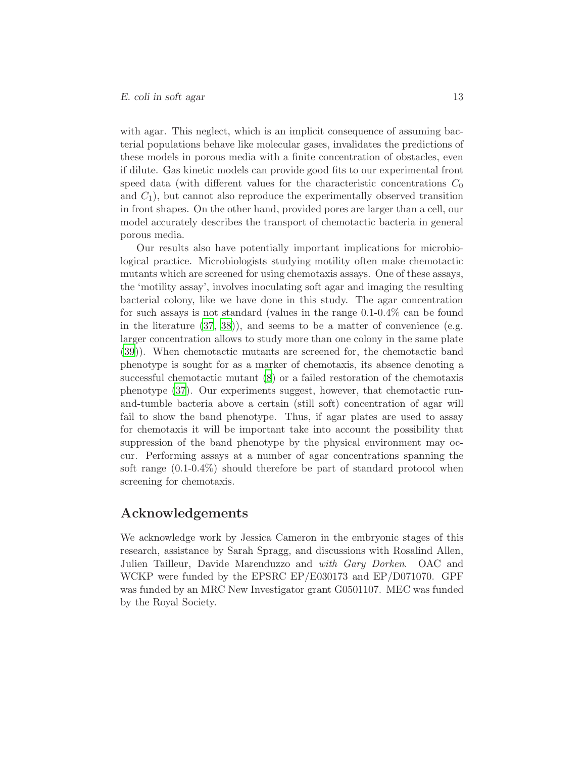with agar. This neglect, which is an implicit consequence of assuming bacterial populations behave like molecular gases, invalidates the predictions of these models in porous media with a finite concentration of obstacles, even if dilute. Gas kinetic models can provide good fits to our experimental front speed data (with different values for the characteristic concentrations  $C_0$ and  $C_1$ ), but cannot also reproduce the experimentally observed transition in front shapes. On the other hand, provided pores are larger than a cell, our model accurately describes the transport of chemotactic bacteria in general porous media.

Our results also have potentially important implications for microbiological practice. Microbiologists studying motility often make chemotactic mutants which are screened for using chemotaxis assays. One of these assays, the 'motility assay', involves inoculating soft agar and imaging the resulting bacterial colony, like we have done in this study. The agar concentration for such assays is not standard (values in the range 0.1-0.4% can be found in the literature [\(37](#page-20-4), [38](#page-20-5))), and seems to be a matter of convenience (e.g. larger concentration allows to study more than one colony in the same plate [\(39](#page-20-6))). When chemotactic mutants are screened for, the chemotactic band phenotype is sought for as a marker of chemotaxis, its absence denoting a successful chemotactic mutant [\(8](#page-18-0)) or a failed restoration of the chemotaxis phenotype [\(37](#page-20-4)). Our experiments suggest, however, that chemotactic runand-tumble bacteria above a certain (still soft) concentration of agar will fail to show the band phenotype. Thus, if agar plates are used to assay for chemotaxis it will be important take into account the possibility that suppression of the band phenotype by the physical environment may occur. Performing assays at a number of agar concentrations spanning the soft range (0.1-0.4%) should therefore be part of standard protocol when screening for chemotaxis.

### Acknowledgements

We acknowledge work by Jessica Cameron in the embryonic stages of this research, assistance by Sarah Spragg, and discussions with Rosalind Allen, Julien Tailleur, Davide Marenduzzo and *with Gary Dorken*. OAC and WCKP were funded by the EPSRC EP/E030173 and EP/D071070. GPF was funded by an MRC New Investigator grant G0501107. MEC was funded by the Royal Society.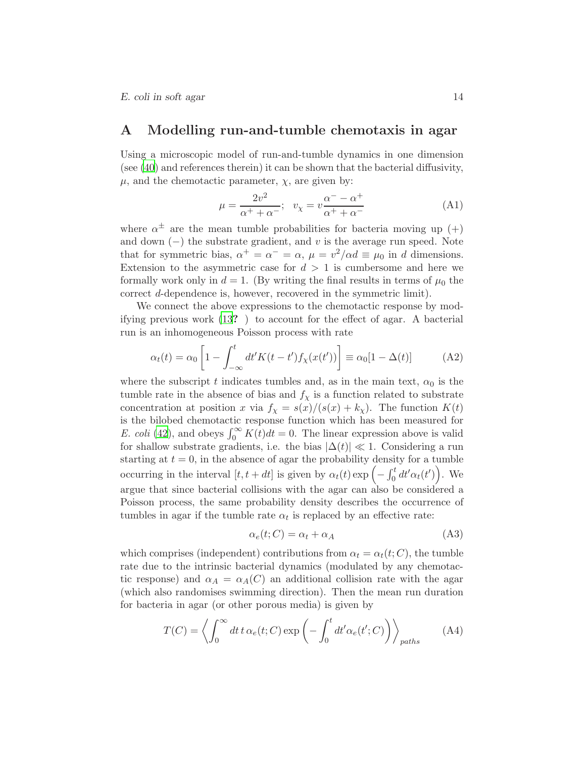### <span id="page-14-0"></span>A Modelling run-and-tumble chemotaxis in agar

Using a microscopic model of run-and-tumble dynamics in one dimension (see [\(40\)](#page-20-7) and references therein) it can be shown that the bacterial diffusivity,  $\mu$ , and the chemotactic parameter,  $\chi$ , are given by:

<span id="page-14-4"></span>
$$
\mu = \frac{2v^2}{\alpha^+ + \alpha^-}; \quad v_\chi = v \frac{\alpha^- - \alpha^+}{\alpha^+ + \alpha^-}
$$
 (A1)

where  $\alpha^{\pm}$  are the mean tumble probabilities for bacteria moving up  $(+)$ and down  $(-)$  the substrate gradient, and v is the average run speed. Note that for symmetric bias,  $\alpha^+ = \alpha^- = \alpha$ ,  $\mu = v^2/\alpha d \equiv \mu_0$  in d dimensions. Extension to the asymmetric case for  $d > 1$  is cumbersome and here we formally work only in  $d = 1$ . (By writing the final results in terms of  $\mu_0$  the correct d-dependence is, however, recovered in the symmetric limit).

We connect the above expressions to the chemotactic response by modifying previous work [\(13](#page-18-5)? ) to account for the effect of agar. A bacterial run is an inhomogeneous Poisson process with rate

<span id="page-14-1"></span>
$$
\alpha_t(t) = \alpha_0 \left[ 1 - \int_{-\infty}^t dt' K(t - t') f_\chi(x(t')) \right] \equiv \alpha_0 [1 - \Delta(t)] \tag{A2}
$$

where the subscript t indicates tumbles and, as in the main text,  $\alpha_0$  is the tumble rate in the absence of bias and  $f<sub>\chi</sub>$  is a function related to substrate concentration at position x via  $f_{\chi} = s(x)/(s(x) + k_{\chi})$ . The function  $K(t)$ is the bilobed chemotactic response function which has been measured for *E. coli* [\(42](#page-20-8)), and obeys  $\int_0^\infty K(t)dt = 0$ . The linear expression above is valid for shallow substrate gradients, i.e. the bias  $|\Delta(t)| \ll 1$ . Considering a run starting at  $t = 0$ , in the absence of agar the probability density for a tumble occurring in the interval  $[t, t + dt]$  is given by  $\alpha_t(t) \exp\left(-\int_0^t dt' \alpha_t(t')\right)$ . We argue that since bacterial collisions with the agar can also be considered a Poisson process, the same probability density describes the occurrence of tumbles in agar if the tumble rate  $\alpha_t$  is replaced by an effective rate:

<span id="page-14-2"></span>
$$
\alpha_e(t;C) = \alpha_t + \alpha_A \tag{A3}
$$

which comprises (independent) contributions from  $\alpha_t = \alpha_t(t; C)$ , the tumble rate due to the intrinsic bacterial dynamics (modulated by any chemotactic response) and  $\alpha_A = \alpha_A(C)$  an additional collision rate with the agar (which also randomises swimming direction). Then the mean run duration for bacteria in agar (or other porous media) is given by

<span id="page-14-3"></span>
$$
T(C) = \left\langle \int_0^\infty dt \, t \, \alpha_e(t;C) \exp\left(-\int_0^t dt' \alpha_e(t';C)\right) \right\rangle_{paths}
$$
 (A4)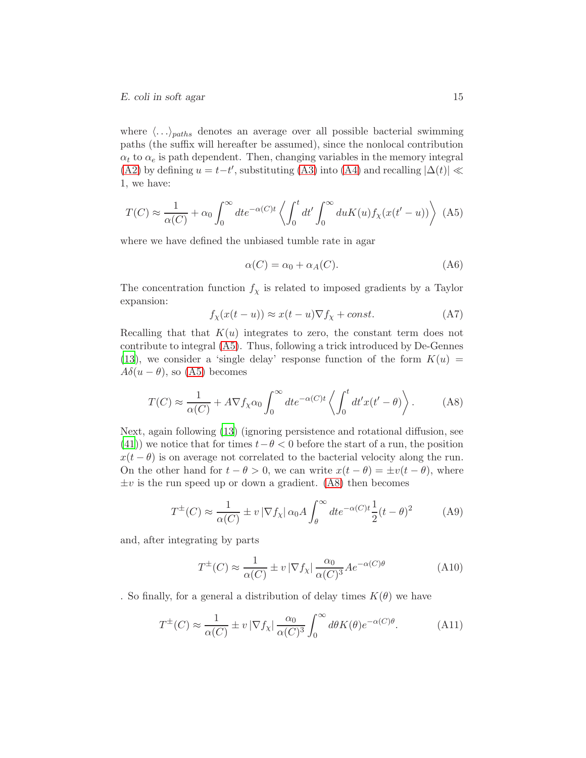where  $\langle \ldots \rangle_{paths}$  denotes an average over all possible bacterial swimming paths (the suffix will hereafter be assumed), since the nonlocal contribution  $\alpha_t$  to  $\alpha_e$  is path dependent. Then, changing variables in the memory integral [\(A2\)](#page-14-1) by defining  $u = t-t'$ , substituting [\(A3\)](#page-14-2) into [\(A4\)](#page-14-3) and recalling  $|\Delta(t)| \ll$ 1, we have:

<span id="page-15-1"></span>
$$
T(C) \approx \frac{1}{\alpha(C)} + \alpha_0 \int_0^\infty dt e^{-\alpha(C)t} \left\langle \int_0^t dt' \int_0^\infty du K(u) f_\chi(x(t'-u)) \right\rangle \tag{A5}
$$

where we have defined the unbiased tumble rate in agar

<span id="page-15-0"></span>
$$
\alpha(C) = \alpha_0 + \alpha_A(C). \tag{A6}
$$

The concentration function  $f_{\chi}$  is related to imposed gradients by a Taylor expansion:

$$
f_{\chi}(x(t-u)) \approx x(t-u)\nabla f_{\chi} + const.
$$
 (A7)

Recalling that that  $K(u)$  integrates to zero, the constant term does not contribute to integral [\(A5\)](#page-15-1). Thus, following a trick introduced by De-Gennes [\(13\)](#page-18-5), we consider a 'single delay' response function of the form  $K(u) =$  $A\delta(u-\theta)$ , so [\(A5\)](#page-15-1) becomes

<span id="page-15-2"></span>
$$
T(C) \approx \frac{1}{\alpha(C)} + A \nabla f_{\chi} \alpha_0 \int_0^{\infty} dt e^{-\alpha(C)t} \left\langle \int_0^t dt' x(t' - \theta) \right\rangle.
$$
 (A8)

Next, again following [\(13](#page-18-5)) (ignoring persistence and rotational diffusion, see [\(41\)](#page-20-9)) we notice that for times  $t-\theta < 0$  before the start of a run, the position  $x(t - \theta)$  is on average not correlated to the bacterial velocity along the run. On the other hand for  $t - \theta > 0$ , we can write  $x(t - \theta) = \pm v(t - \theta)$ , where  $\pm v$  is the run speed up or down a gradient. [\(A8\)](#page-15-2) then becomes

$$
T^{\pm}(C) \approx \frac{1}{\alpha(C)} \pm v |\nabla f_{\chi}| \alpha_0 A \int_{\theta}^{\infty} dt e^{-\alpha(C)t} \frac{1}{2} (t - \theta)^2
$$
 (A9)

and, after integrating by parts

$$
T^{\pm}(C) \approx \frac{1}{\alpha(C)} \pm v \left| \nabla f_{\chi} \right| \frac{\alpha_0}{\alpha(C)^3} A e^{-\alpha(C)\theta}
$$
 (A10)

. So finally, for a general a distribution of delay times  $K(\theta)$  we have

<span id="page-15-3"></span>
$$
T^{\pm}(C) \approx \frac{1}{\alpha(C)} \pm v |\nabla f_{\chi}| \frac{\alpha_0}{\alpha(C)^3} \int_0^{\infty} d\theta K(\theta) e^{-\alpha(C)\theta}.
$$
 (A11)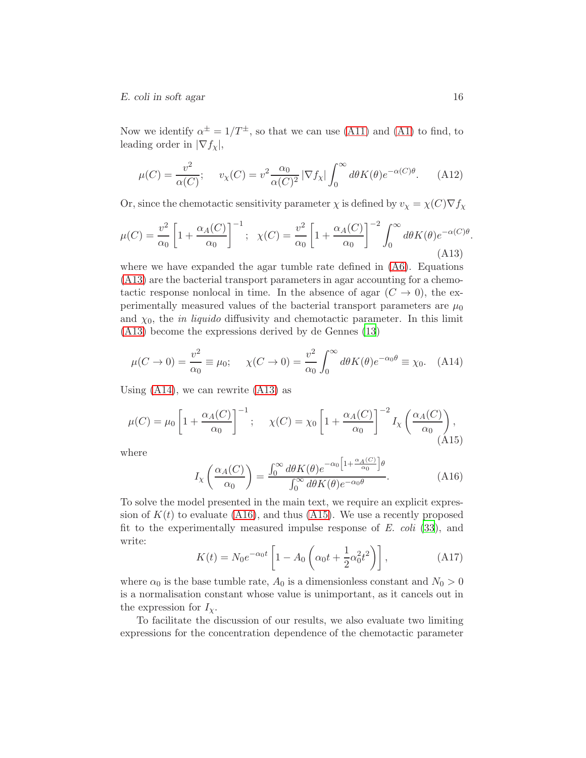### E. coli in soft agar 16

Now we identify  $\alpha^{\pm} = 1/T^{\pm}$ , so that we can use [\(A11\)](#page-15-3) and [\(A1\)](#page-14-4) to find, to leading order in  $|\nabla f_\chi|$ ,

$$
\mu(C) = \frac{v^2}{\alpha(C)}; \quad v_\chi(C) = v^2 \frac{\alpha_0}{\alpha(C)^2} |\nabla f_\chi| \int_0^\infty d\theta K(\theta) e^{-\alpha(C)\theta}.
$$
 (A12)

Or, since the chemotactic sensitivity parameter  $\chi$  is defined by  $v_{\chi} = \chi(C)\nabla f_{\chi}$ 

<span id="page-16-2"></span>
$$
\mu(C) = \frac{v^2}{\alpha_0} \left[ 1 + \frac{\alpha_A(C)}{\alpha_0} \right]^{-1}; \quad \chi(C) = \frac{v^2}{\alpha_0} \left[ 1 + \frac{\alpha_A(C)}{\alpha_0} \right]^{-2} \int_0^\infty d\theta K(\theta) e^{-\alpha(C)\theta}.
$$
\n(A13)

where we have expanded the agar tumble rate defined in [\(A6\)](#page-15-0). Equations [\(A13\)](#page-16-2) are the bacterial transport parameters in agar accounting for a chemotactic response nonlocal in time. In the absence of agar  $(C \to 0)$ , the experimentally measured values of the bacterial transport parameters are  $\mu_0$ and  $\chi_0$ , the *in liquido* diffusivity and chemotactic parameter. In this limit [\(A13\)](#page-16-2) become the expressions derived by de Gennes [\(13](#page-18-5))

<span id="page-16-3"></span>
$$
\mu(C \to 0) = \frac{v^2}{\alpha_0} \equiv \mu_0; \quad \chi(C \to 0) = \frac{v^2}{\alpha_0} \int_0^\infty d\theta K(\theta) e^{-\alpha_0 \theta} \equiv \chi_0. \quad \text{(A14)}
$$

Using  $(A14)$ , we can rewrite  $(A13)$  as

<span id="page-16-4"></span>
$$
\mu(C) = \mu_0 \left[ 1 + \frac{\alpha_A(C)}{\alpha_0} \right]^{-1}; \quad \chi(C) = \chi_0 \left[ 1 + \frac{\alpha_A(C)}{\alpha_0} \right]^{-2} I_\chi \left( \frac{\alpha_A(C)}{\alpha_0} \right),\tag{A15}
$$

where

<span id="page-16-0"></span>
$$
I_{\chi}\left(\frac{\alpha_{A}(C)}{\alpha_{0}}\right) = \frac{\int_{0}^{\infty} d\theta K(\theta) e^{-\alpha_{0}\left[1 + \frac{\alpha_{A}(C)}{\alpha_{0}}\right]\theta}}{\int_{0}^{\infty} d\theta K(\theta) e^{-\alpha_{0}\theta}}.
$$
 (A16)

To solve the model presented in the main text, we require an explicit expression of  $K(t)$  to evaluate [\(A16\)](#page-16-0), and thus [\(A15\)](#page-16-4). We use a recently proposed fit to the experimentally measured impulse response of *E. coli* [\(33](#page-20-0)), and write:

<span id="page-16-1"></span>
$$
K(t) = N_0 e^{-\alpha_0 t} \left[ 1 - A_0 \left( \alpha_0 t + \frac{1}{2} \alpha_0^2 t^2 \right) \right],
$$
 (A17)

where  $\alpha_0$  is the base tumble rate,  $A_0$  is a dimensionless constant and  $N_0 > 0$ is a normalisation constant whose value is unimportant, as it cancels out in the expression for  $I_{\chi}$ .

To facilitate the discussion of our results, we also evaluate two limiting expressions for the concentration dependence of the chemotactic parameter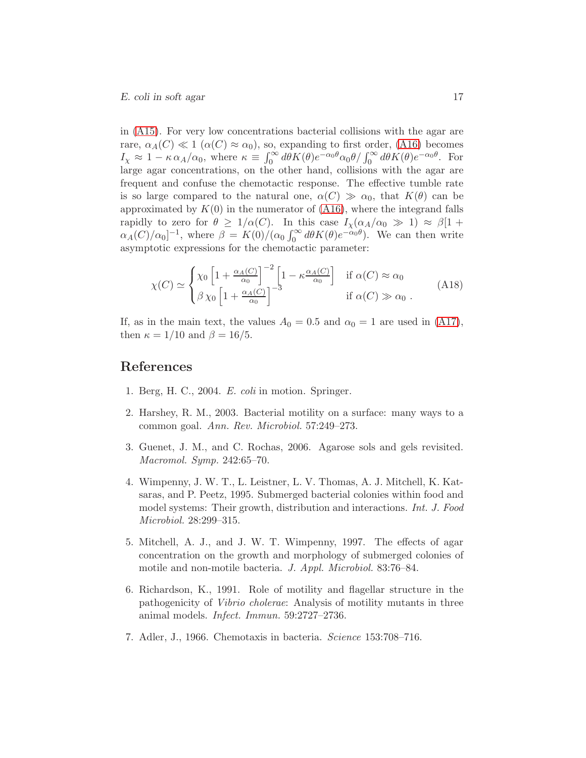in [\(A15\)](#page-16-4). For very low concentrations bacterial collisions with the agar are rare,  $\alpha_A(C) \ll 1$  ( $\alpha(C) \approx \alpha_0$ ), so, expanding to first order, [\(A16\)](#page-16-0) becomes  $I_X \approx 1 - \kappa \alpha_A/\alpha_0$ , where  $\kappa \equiv \int_0^\infty d\theta K(\theta) e^{-\alpha_0 \theta} \alpha_0 \theta / \int_0^\infty d\theta K(\theta) e^{-\alpha_0 \theta}$ . For large agar concentrations, on the other hand, collisions with the agar are frequent and confuse the chemotactic response. The effective tumble rate is so large compared to the natural one,  $\alpha(C) \gg \alpha_0$ , that  $K(\theta)$  can be approximated by  $K(0)$  in the numerator of  $(A16)$ , where the integrand falls rapidly to zero for  $\theta \geq 1/\alpha(C)$ . In this case  $I_{\chi}(\alpha_A/\alpha_0 \gg 1) \approx \beta[1 +$  $\alpha_A(C)/\alpha_0$ <sup>-1</sup>, where  $\beta = K(0)/(\alpha_0 \int_0^\infty d\theta K(\theta) e^{-\alpha_0 \theta})$ . We can then write asymptotic expressions for the chemotactic parameter:

$$
\chi(C) \simeq \begin{cases} \chi_0 \left[ 1 + \frac{\alpha_A(C)}{\alpha_0} \right]^{-2} \left[ 1 - \kappa \frac{\alpha_A(C)}{\alpha_0} \right] & \text{if } \alpha(C) \approx \alpha_0 \\ \beta \chi_0 \left[ 1 + \frac{\alpha_A(C)}{\alpha_0} \right]^{-3} & \text{if } \alpha(C) \gg \alpha_0 \end{cases}
$$
 (A18)

If, as in the main text, the values  $A_0 = 0.5$  and  $\alpha_0 = 1$  are used in [\(A17\)](#page-16-1), then  $\kappa = 1/10$  and  $\beta = 16/5$ .

### References

- <span id="page-17-0"></span>1. Berg, H. C., 2004. *E. coli* in motion. Springer.
- <span id="page-17-1"></span>2. Harshey, R. M., 2003. Bacterial motility on a surface: many ways to a common goal. *Ann. Rev. Microbiol.* 57:249–273.
- <span id="page-17-2"></span>3. Guenet, J. M., and C. Rochas, 2006. Agarose sols and gels revisited. *Macromol. Symp.* 242:65–70.
- <span id="page-17-3"></span>4. Wimpenny, J. W. T., L. Leistner, L. V. Thomas, A. J. Mitchell, K. Katsaras, and P. Peetz, 1995. Submerged bacterial colonies within food and model systems: Their growth, distribution and interactions. *Int. J. Food Microbiol.* 28:299–315.
- <span id="page-17-6"></span>5. Mitchell, A. J., and J. W. T. Wimpenny, 1997. The effects of agar concentration on the growth and morphology of submerged colonies of motile and non-motile bacteria. *J. Appl. Microbiol.* 83:76–84.
- <span id="page-17-4"></span>6. Richardson, K., 1991. Role of motility and flagellar structure in the pathogenicity of *Vibrio cholerae*: Analysis of motility mutants in three animal models. *Infect. Immun.* 59:2727–2736.
- <span id="page-17-5"></span>7. Adler, J., 1966. Chemotaxis in bacteria. *Science* 153:708–716.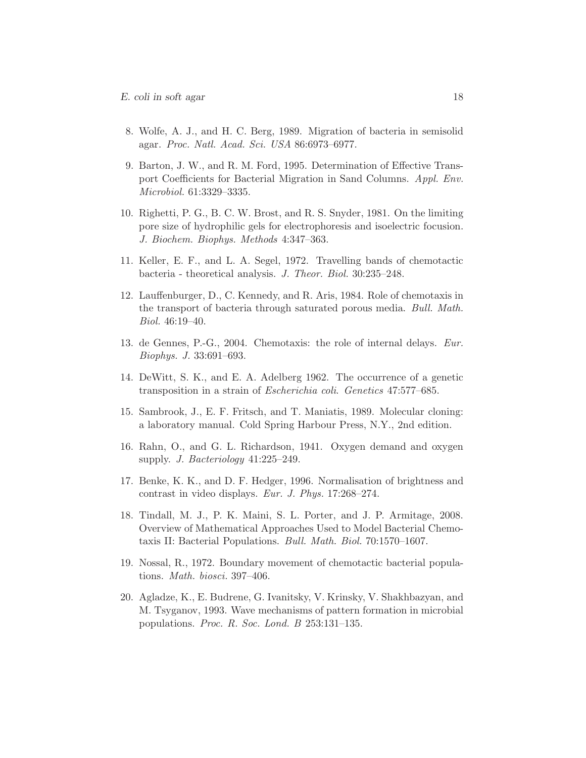- <span id="page-18-0"></span>8. Wolfe, A. J., and H. C. Berg, 1989. Migration of bacteria in semisolid agar. *Proc. Natl. Acad. Sci. USA* 86:6973–6977.
- <span id="page-18-2"></span>9. Barton, J. W., and R. M. Ford, 1995. Determination of Effective Transport Coefficients for Bacterial Migration in Sand Columns. *Appl. Env. Microbiol.* 61:3329–3335.
- <span id="page-18-1"></span>10. Righetti, P. G., B. C. W. Brost, and R. S. Snyder, 1981. On the limiting pore size of hydrophilic gels for electrophoresis and isoelectric focusion. *J. Biochem. Biophys. Methods* 4:347–363.
- <span id="page-18-3"></span>11. Keller, E. F., and L. A. Segel, 1972. Travelling bands of chemotactic bacteria - theoretical analysis. *J. Theor. Biol.* 30:235–248.
- <span id="page-18-4"></span>12. Lauffenburger, D., C. Kennedy, and R. Aris, 1984. Role of chemotaxis in the transport of bacteria through saturated porous media. *Bull. Math. Biol.* 46:19–40.
- <span id="page-18-5"></span>13. de Gennes, P.-G., 2004. Chemotaxis: the role of internal delays. *Eur. Biophys. J.* 33:691–693.
- <span id="page-18-6"></span>14. DeWitt, S. K., and E. A. Adelberg 1962. The occurrence of a genetic transposition in a strain of *Escherichia coli*. *Genetics* 47:577–685.
- <span id="page-18-7"></span>15. Sambrook, J., E. F. Fritsch, and T. Maniatis, 1989. Molecular cloning: a laboratory manual. Cold Spring Harbour Press, N.Y., 2nd edition.
- <span id="page-18-8"></span>16. Rahn, O., and G. L. Richardson, 1941. Oxygen demand and oxygen supply. *J. Bacteriology* 41:225–249.
- <span id="page-18-9"></span>17. Benke, K. K., and D. F. Hedger, 1996. Normalisation of brightness and contrast in video displays. *Eur. J. Phys.* 17:268–274.
- <span id="page-18-10"></span>18. Tindall, M. J., P. K. Maini, S. L. Porter, and J. P. Armitage, 2008. Overview of Mathematical Approaches Used to Model Bacterial Chemotaxis II: Bacterial Populations. *Bull. Math. Biol.* 70:1570–1607.
- <span id="page-18-11"></span>19. Nossal, R., 1972. Boundary movement of chemotactic bacterial populations. *Math. biosci.* 397–406.
- <span id="page-18-12"></span>20. Agladze, K., E. Budrene, G. Ivanitsky, V. Krinsky, V. Shakhbazyan, and M. Tsyganov, 1993. Wave mechanisms of pattern formation in microbial populations. *Proc. R. Soc. Lond. B* 253:131–135.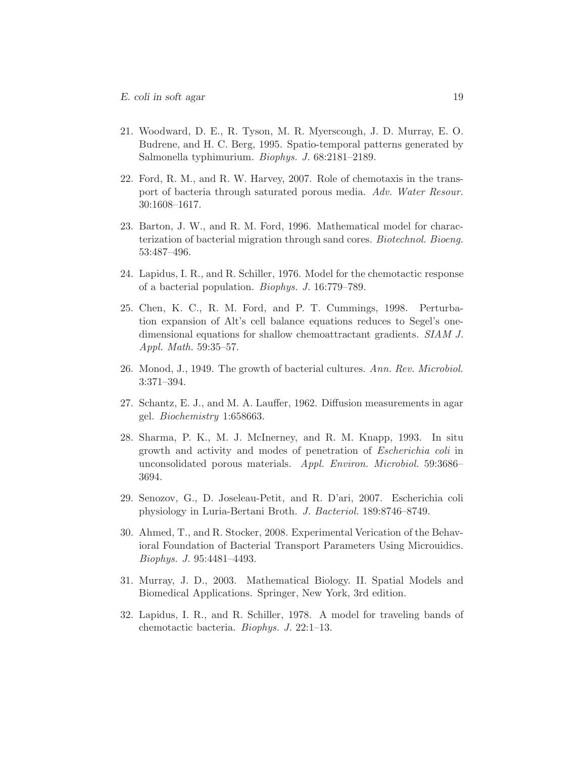- <span id="page-19-0"></span>21. Woodward, D. E., R. Tyson, M. R. Myerscough, J. D. Murray, E. O. Budrene, and H. C. Berg, 1995. Spatio-temporal patterns generated by Salmonella typhimurium. *Biophys. J.* 68:2181–2189.
- <span id="page-19-1"></span>22. Ford, R. M., and R. W. Harvey, 2007. Role of chemotaxis in the transport of bacteria through saturated porous media. *Adv. Water Resour.* 30:1608–1617.
- <span id="page-19-2"></span>23. Barton, J. W., and R. M. Ford, 1996. Mathematical model for characterization of bacterial migration through sand cores. *Biotechnol. Bioeng.* 53:487–496.
- <span id="page-19-3"></span>24. Lapidus, I. R., and R. Schiller, 1976. Model for the chemotactic response of a bacterial population. *Biophys. J.* 16:779–789.
- <span id="page-19-4"></span>25. Chen, K. C., R. M. Ford, and P. T. Cummings, 1998. Perturbation expansion of Alt's cell balance equations reduces to Segel's onedimensional equations for shallow chemoattractant gradients. *SIAM J. Appl. Math.* 59:35–57.
- <span id="page-19-5"></span>26. Monod, J., 1949. The growth of bacterial cultures. *Ann. Rev. Microbiol.* 3:371–394.
- <span id="page-19-6"></span>27. Schantz, E. J., and M. A. Lauffer, 1962. Diffusion measurements in agar gel. *Biochemistry* 1:658663.
- <span id="page-19-7"></span>28. Sharma, P. K., M. J. McInerney, and R. M. Knapp, 1993. In situ growth and activity and modes of penetration of *Escherichia coli* in unconsolidated porous materials. *Appl. Environ. Microbiol.* 59:3686– 3694.
- <span id="page-19-8"></span>29. Senozov, G., D. Joseleau-Petit, and R. D'ari, 2007. Escherichia coli physiology in Luria-Bertani Broth. *J. Bacteriol.* 189:8746–8749.
- <span id="page-19-9"></span>30. Ahmed, T., and R. Stocker, 2008. Experimental Verication of the Behavioral Foundation of Bacterial Transport Parameters Using Microuidics. *Biophys. J.* 95:4481–4493.
- <span id="page-19-10"></span>31. Murray, J. D., 2003. Mathematical Biology. II. Spatial Models and Biomedical Applications. Springer, New York, 3rd edition.
- <span id="page-19-11"></span>32. Lapidus, I. R., and R. Schiller, 1978. A model for traveling bands of chemotactic bacteria. *Biophys. J.* 22:1–13.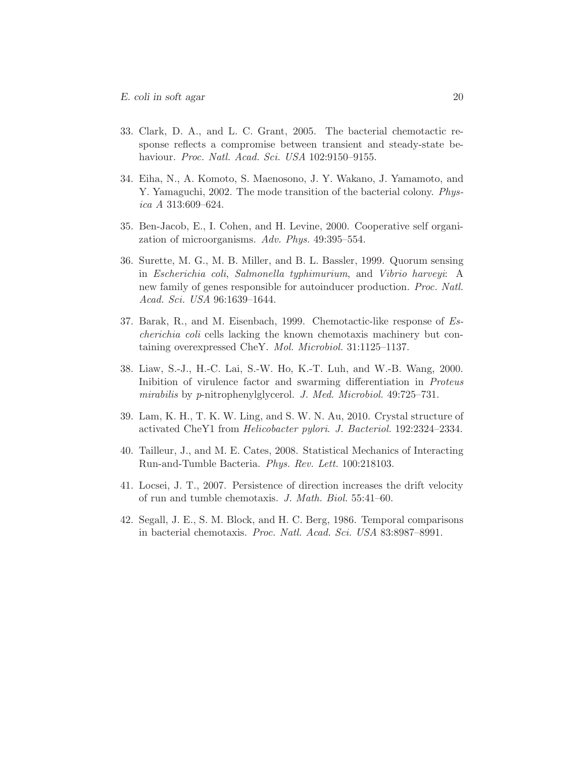- <span id="page-20-0"></span>33. Clark, D. A., and L. C. Grant, 2005. The bacterial chemotactic response reflects a compromise between transient and steady-state behaviour. *Proc. Natl. Acad. Sci. USA* 102:9150–9155.
- <span id="page-20-1"></span>34. Eiha, N., A. Komoto, S. Maenosono, J. Y. Wakano, J. Yamamoto, and Y. Yamaguchi, 2002. The mode transition of the bacterial colony. *Physica A* 313:609–624.
- <span id="page-20-2"></span>35. Ben-Jacob, E., I. Cohen, and H. Levine, 2000. Cooperative self organization of microorganisms. *Adv. Phys.* 49:395–554.
- <span id="page-20-3"></span>36. Surette, M. G., M. B. Miller, and B. L. Bassler, 1999. Quorum sensing in *Escherichia coli*, *Salmonella typhimurium*, and *Vibrio harveyi*: A new family of genes responsible for autoinducer production. *Proc. Natl. Acad. Sci. USA* 96:1639–1644.
- <span id="page-20-4"></span>37. Barak, R., and M. Eisenbach, 1999. Chemotactic-like response of *Escherichia coli* cells lacking the known chemotaxis machinery but containing overexpressed CheY. *Mol. Microbiol.* 31:1125–1137.
- <span id="page-20-5"></span>38. Liaw, S.-J., H.-C. Lai, S.-W. Ho, K.-T. Luh, and W.-B. Wang, 2000. Inibition of virulence factor and swarming differentiation in *Proteus mirabilis* by *p*-nitrophenylglycerol. *J. Med. Microbiol.* 49:725–731.
- <span id="page-20-6"></span>39. Lam, K. H., T. K. W. Ling, and S. W. N. Au, 2010. Crystal structure of activated CheY1 from *Helicobacter pylori*. *J. Bacteriol.* 192:2324–2334.
- <span id="page-20-7"></span>40. Tailleur, J., and M. E. Cates, 2008. Statistical Mechanics of Interacting Run-and-Tumble Bacteria. *Phys. Rev. Lett.* 100:218103.
- <span id="page-20-9"></span>41. Locsei, J. T., 2007. Persistence of direction increases the drift velocity of run and tumble chemotaxis. *J. Math. Biol.* 55:41–60.
- <span id="page-20-8"></span>42. Segall, J. E., S. M. Block, and H. C. Berg, 1986. Temporal comparisons in bacterial chemotaxis. *Proc. Natl. Acad. Sci. USA* 83:8987–8991.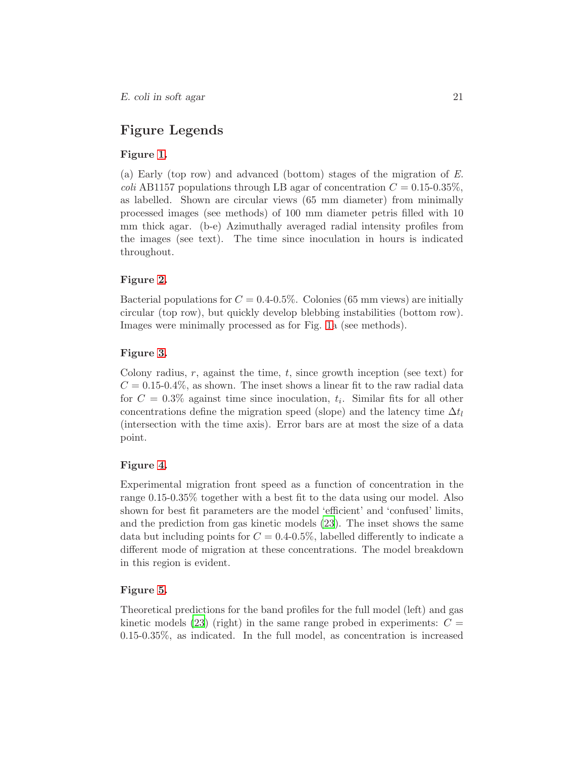# Figure Legends

### Figure [1.](#page-23-0)

(a) Early (top row) and advanced (bottom) stages of the migration of *E. coli* AB1157 populations through LB agar of concentration  $C = 0.15{\text -}0.35\%,$ as labelled. Shown are circular views (65 mm diameter) from minimally processed images (see methods) of 100 mm diameter petris filled with 10 mm thick agar. (b-e) Azimuthally averaged radial intensity profiles from the images (see text). The time since inoculation in hours is indicated throughout.

### Figure [2.](#page-24-0)

Bacterial populations for  $C = 0.4{\text -}0.5\%$ . Colonies (65 mm views) are initially circular (top row), but quickly develop blebbing instabilities (bottom row). Images were minimally processed as for Fig. [1a](#page-23-0) (see methods).

### Figure [3.](#page-25-0)

Colony radius,  $r$ , against the time,  $t$ , since growth inception (see text) for  $C = 0.15 - 0.4\%$ , as shown. The inset shows a linear fit to the raw radial data for  $C = 0.3\%$  against time since inoculation,  $t_i$ . Similar fits for all other concentrations define the migration speed (slope) and the latency time  $\Delta t_l$ (intersection with the time axis). Error bars are at most the size of a data point.

#### Figure [4.](#page-26-0)

Experimental migration front speed as a function of concentration in the range 0.15-0.35% together with a best fit to the data using our model. Also shown for best fit parameters are the model 'efficient' and 'confused' limits, and the prediction from gas kinetic models [\(23](#page-19-2)). The inset shows the same data but including points for  $C = 0.4{\text -}0.5\%$ , labelled differently to indicate a different mode of migration at these concentrations. The model breakdown in this region is evident.

#### Figure [5.](#page-27-0)

Theoretical predictions for the band profiles for the full model (left) and gas kinetic models [\(23\)](#page-19-2) (right) in the same range probed in experiments:  $C =$ 0.15-0.35%, as indicated. In the full model, as concentration is increased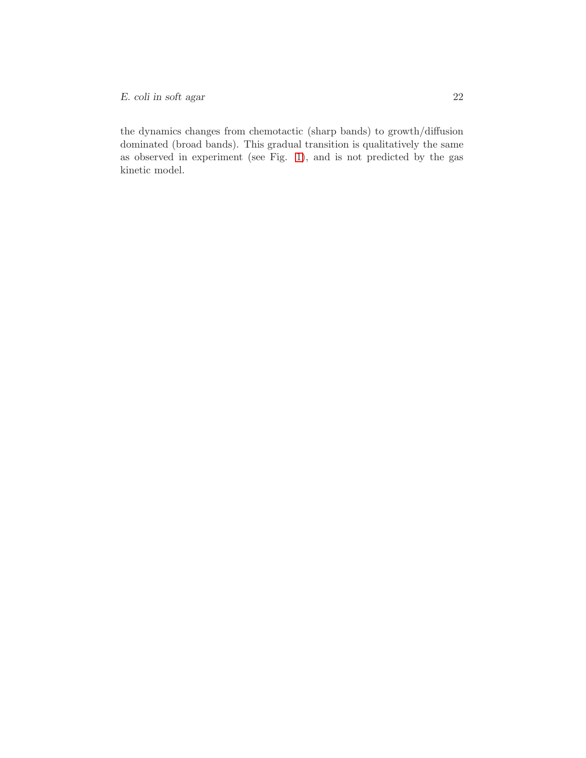the dynamics changes from chemotactic (sharp bands) to growth/diffusion dominated (broad bands). This gradual transition is qualitatively the same as observed in experiment (see Fig. [1\)](#page-23-0), and is not predicted by the gas kinetic model.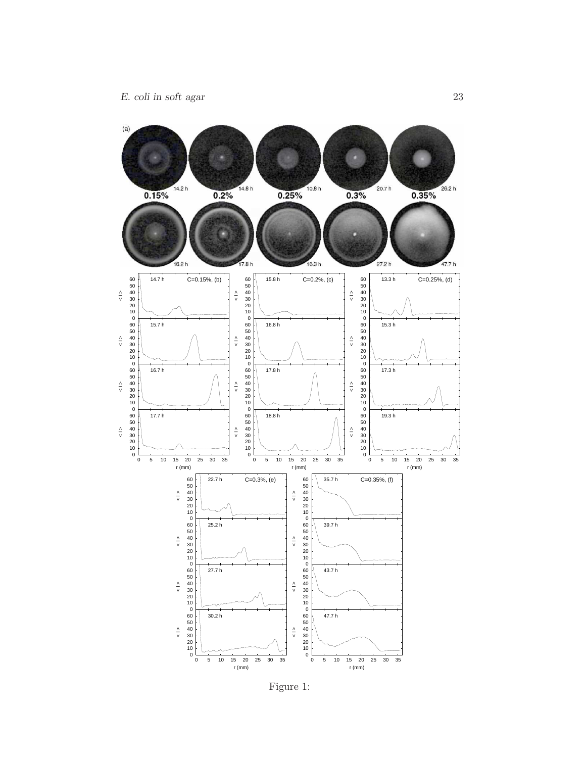

<span id="page-23-0"></span>Figure 1: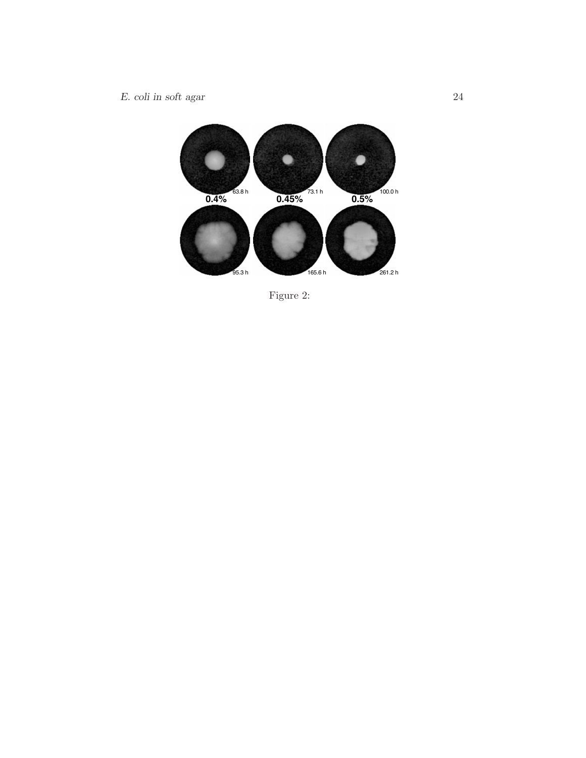

<span id="page-24-0"></span>Figure 2: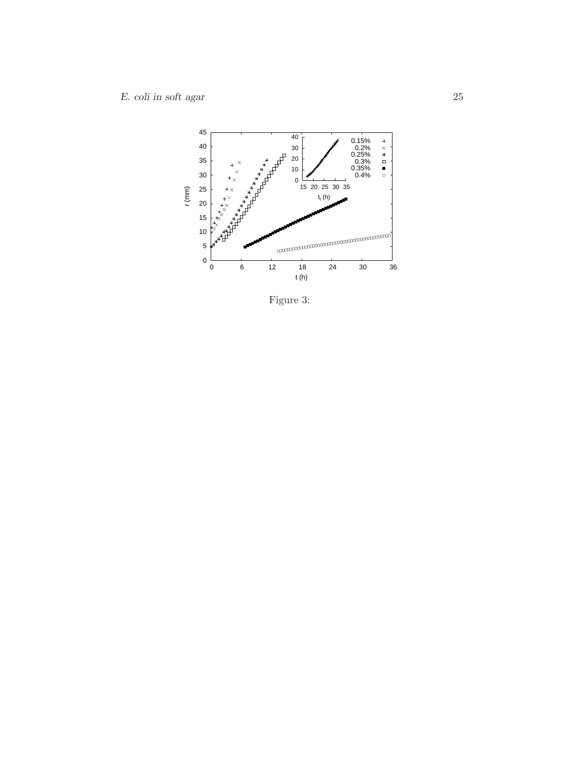

<span id="page-25-0"></span>Figure 3: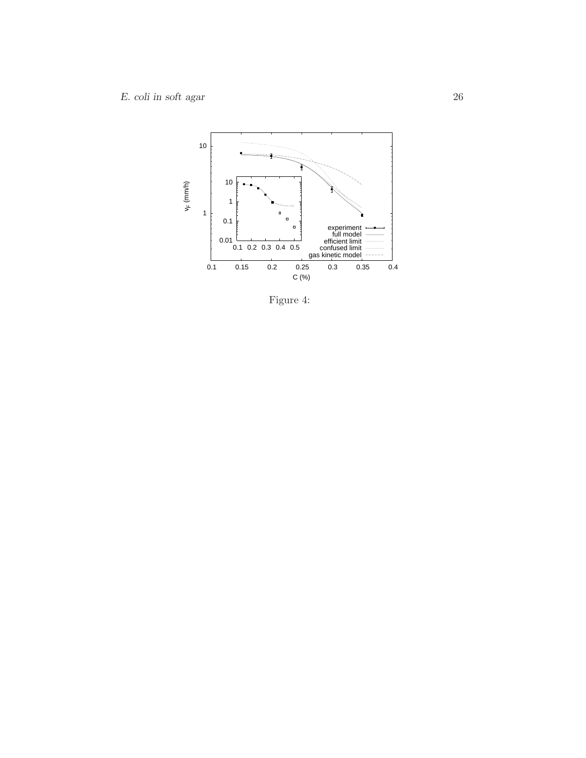

<span id="page-26-0"></span>Figure 4: